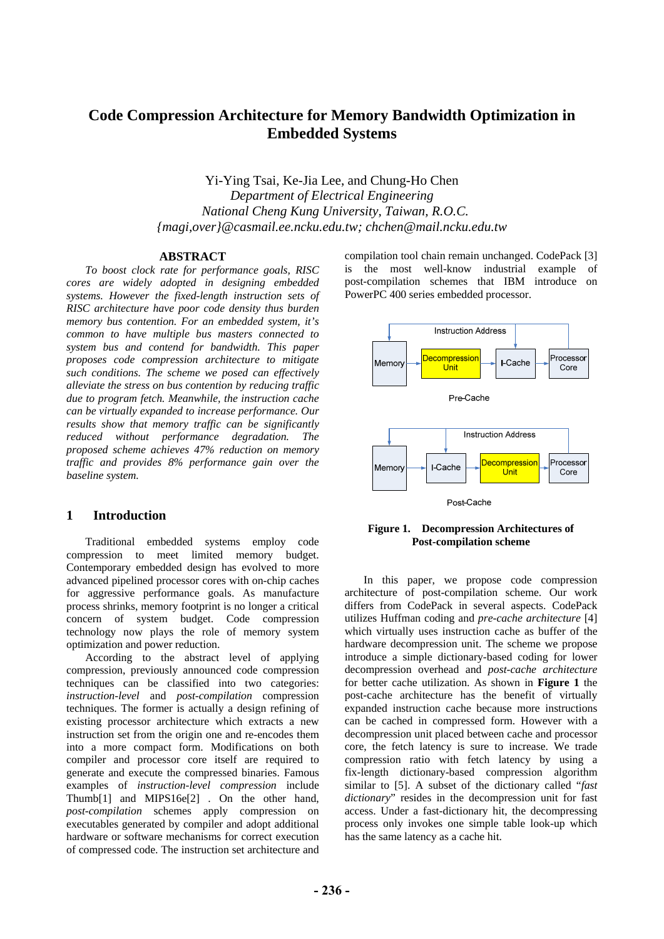# **Code Compression Architecture for Memory Bandwidth Optimization in Embedded Systems**

Yi-Ying Tsai, Ke-Jia Lee, and Chung-Ho Chen *Department of Electrical Engineering National Cheng Kung University, Taiwan, R.O.C. {magi,over}@casmail.ee.ncku.edu.tw; chchen@mail.ncku.edu.tw* 

## **ABSTRACT**

*To boost clock rate for performance goals, RISC cores are widely adopted in designing embedded systems. However the fixed-length instruction sets of RISC architecture have poor code density thus burden memory bus contention. For an embedded system, it's common to have multiple bus masters connected to system bus and contend for bandwidth. This paper proposes code compression architecture to mitigate such conditions. The scheme we posed can effectively alleviate the stress on bus contention by reducing traffic due to program fetch. Meanwhile, the instruction cache can be virtually expanded to increase performance. Our results show that memory traffic can be significantly reduced without performance degradation. The proposed scheme achieves 47% reduction on memory traffic and provides 8% performance gain over the baseline system.* 

## <span id="page-0-0"></span>**1 Introduction**

Traditional embedded systems employ code compression to meet limited memory budget. Contemporary embedded design has evolved to more advanced pipelined processor cores with on-chip caches for aggressive performance goals. As manufacture process shrinks, memory footprint is no longer a critical concern of system budget. Code compression technology now plays the role of memory system optimization and power reduction.

According to the abstract level of applying compression, previously announced code compression techniques can be classified into two categories: *instruction-level* and *post-compilation* compression techniques. The former is actually a design refining of existing processor architecture which extracts a new instruction set from the origin one and re-encodes them into a more compact form. Modifications on both compiler and processor core itself are required to generate and execute the compressed binaries. Famous examples of *instruction-level compression* include Thumb[[1\]](#page-5-0) and MIPS16e[[2\]](#page-5-1) . On the other hand, *post-compilation* schemes apply compression on executables generated by compiler and adopt additional hardware or software mechanisms for correct execution of compressed code. The instruction set architecture and

compilation tool chain remain unchanged. CodePack [\[3](#page-5-2)] is the most well-know industrial example of post-compilation schemes that IBM introduce on PowerPC 400 series embedded processor.



## **Figure 1. Decompression Architectures of Post-compilation scheme**

In this paper, we propose code compression architecture of post-compilation scheme. Our work differs from CodePack in several aspects. CodePack utilizes Huffman coding and *pre-cache architecture* [\[4](#page-5-3)] which virtually uses instruction cache as buffer of the hardware decompression unit. The scheme we propose introduce a simple dictionary-based coding for lower decompression overhead and *post-cache architecture* for better cache utilization. As shown in **[Figure 1](#page-0-0)** the post-cache architecture has the benefit of virtually expanded instruction cache because more instructions can be cached in compressed form. However with a decompression unit placed between cache and processor core, the fetch latency is sure to increase. We trade compression ratio with fetch latency by using a fix-length dictionary-based compression algorithm similar to [\[5](#page-5-4)]. A subset of the dictionary called "*fast dictionary*" resides in the decompression unit for fast access. Under a fast-dictionary hit, the decompressing process only invokes one simple table look-up which has the same latency as a cache hit.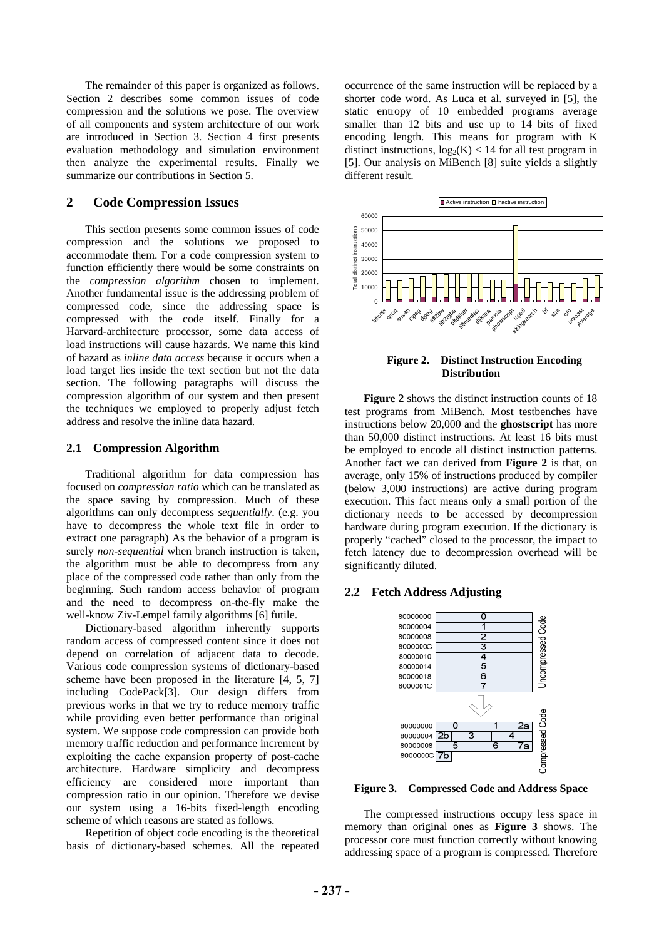The remainder of this paper is organized as follows. Section 2 describes some common issues of code compression and the solutions we pose. The overview of all components and system architecture of our work are introduced in Section 3. Section 4 first presents evaluation methodology and simulation environment then analyze the experimental results. Finally we summarize our contributions in Section 5.

## **2 Code Compression Issues**

This section presents some common issues of code compression and the solutions we proposed to accommodate them. For a code compression system to function efficiently there would be some constraints on the *compression algorithm* chosen to implement. Another fundamental issue is the addressing problem of compressed code, since the addressing space is compressed with the code itself. Finally for a Harvard-architecture processor, some data access of load instructions will cause hazards. We name this kind of hazard as *inline data access* because it occurs when a load target lies inside the text section but not the data section. The following paragraphs will discuss the compression algorithm of our system and then present the techniques we employed to properly adjust fetch address and resolve the inline data hazard.

## <span id="page-1-0"></span>**2.1 Compression Algorithm**

Traditional algorithm for data compression has focused on *compression ratio* which can be translated as the space saving by compression. Much of these algorithms can only decompress *sequentially*. (e.g. you have to decompress the whole text file in order to extract one paragraph) As the behavior of a program is surely *non-sequential* when branch instruction is taken, the algorithm must be able to decompress from any place of the compressed code rather than only from the beginning. Such random access behavior of program and the need to decompress on-the-fly make the well-know Ziv-Lempel family algorithms [\[6](#page-5-5)] futile.

Dictionary-based algorithm inherently supports random access of compressed content since it does not depend on correlation of adjacent data to decode. Various code compression systems of dictionary-based scheme have been proposed in the literature [\[4](#page-5-3), [5,](#page-5-4) [7\]](#page-5-6) including CodePack[[3\]](#page-5-2). Our design differs from previous works in that we try to reduce memory traffic while providing even better performance than original system. We suppose code compression can provide both memory traffic reduction and performance increment by exploiting the cache expansion property of post-cache architecture. Hardware simplicity and decompress efficiency are considered more important than compression ratio in our opinion. Therefore we devise our system using a 16-bits fixed-length encoding scheme of which reasons are stated as follows.

<span id="page-1-1"></span>Repetition of object code encoding is the theoretical basis of dictionary-based schemes. All the repeated

occurrence of the same instruction will be replaced by a shorter code word. As Luca et al. surveyed in [[5\]](#page-5-4), the static entropy of 10 embedded programs average smaller than 12 bits and use up to 14 bits of fixed encoding length. This means for program with K distinct instructions,  $log_2(K)$  < 14 for all test program in [\[5](#page-5-4)]. Our analysis on MiBench [[8\]](#page-5-7) suite yields a slightly different result.



**Figure 2. Distinct Instruction Encoding Distribution** 

**[Figure 2](#page-1-0)** shows the distinct instruction counts of 18 test programs from MiBench. Most testbenches have instructions below 20,000 and the **ghostscript** has more than 50,000 distinct instructions. At least 16 bits must be employed to encode all distinct instruction patterns. Another fact we can derived from **[Figure 2](#page-1-0)** is that, on average, only 15% of instructions produced by compiler (below 3,000 instructions) are active during program execution. This fact means only a small portion of the dictionary needs to be accessed by decompression hardware during program execution. If the dictionary is properly "cached" closed to the processor, the impact to fetch latency due to decompression overhead will be significantly diluted.

## **2.2 Fetch Address Adjusting**



**Figure 3. Compressed Code and Address Space** 

The compressed instructions occupy less space in memory than original ones as **[Figure 3](#page-1-1)** shows. The processor core must function correctly without knowing addressing space of a program is compressed. Therefore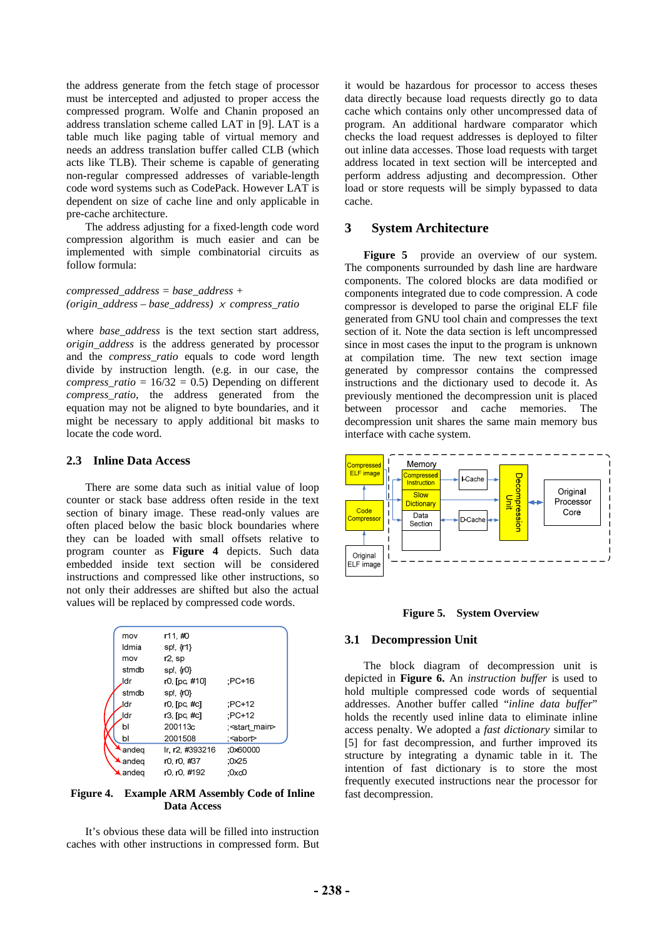the address generate from the fetch stage of processor must be intercepted and adjusted to proper access the compressed program. Wolfe and Chanin proposed an address translation scheme called LAT in [\[9](#page-5-8)]. LAT is a table much like paging table of virtual memory and needs an address translation buffer called CLB (which acts like TLB). Their scheme is capable of generating non-regular compressed addresses of variable-length code word systems such as CodePack. However LAT is dependent on size of cache line and only applicable in pre-cache architecture.

The address adjusting for a fixed-length code word compression algorithm is much easier and can be implemented with simple combinatorial circuits as follow formula:

*compressed\_address = base\_address + (origin\_address – base\_address)* × *compress\_ratio* 

where *base\_address* is the text section start address, *origin\_address* is the address generated by processor and the *compress\_ratio* equals to code word length divide by instruction length. (e.g. in our case, the *compress\_ratio* =  $16/32 = 0.5$ ) Depending on different *compress\_ratio*, the address generated from the equation may not be aligned to byte boundaries, and it might be necessary to apply additional bit masks to locate the code word.

## **2.3 Inline Data Access**

There are some data such as initial value of loop counter or stack base address often reside in the text section of binary image. These read-only values are often placed below the basic block boundaries where they can be loaded with small offsets relative to program counter as **[Figure 4](#page-2-0)** depicts. Such data embedded inside text section will be considered instructions and compressed like other instructions, so not only their addresses are shifted but also the actual values will be replaced by compressed code words.

<span id="page-2-1"></span>

| mov                    | r11,#0          |                           |
|------------------------|-----------------|---------------------------|
| Idmia                  | sp!, {r1}       |                           |
| mov                    | r2, sp          |                           |
| stmdb                  | sp!, $\{r0\}$   |                           |
| ldr                    | r0, [pc, #10]   | :PC+16                    |
| stmdb                  | sp!, {r0}       |                           |
| ldr                    | r0, [pc, #c]    | $PC+12$                   |
| ldr                    | r3, [pc, #c]    | $PC+12$                   |
| bl                     | 200113c         | ; <start main=""></start> |
| bl                     | 2001508         | : <abort></abort>         |
| andeg                  | Ir. r2. #393216 | :0x60000                  |
| $\blacktriangle$ andeq | r0, r0, #37     | :0x25                     |
| $\lambda$ andeg        | r0. r0. #192    | :0xc0                     |
|                        |                 |                           |

## <span id="page-2-0"></span>**Figure 4. Example ARM Assembly Code of Inline Data Access**

It's obvious these data will be filled into instruction caches with other instructions in compressed form. But it would be hazardous for processor to access theses data directly because load requests directly go to data cache which contains only other uncompressed data of program. An additional hardware comparator which checks the load request addresses is deployed to filter out inline data accesses. Those load requests with target address located in text section will be intercepted and perform address adjusting and decompression. Other load or store requests will be simply bypassed to data cache.

## **3 System Architecture**

**[Figure 5](#page-2-1)** provide an overview of our system. The components surrounded by dash line are hardware components. The colored blocks are data modified or components integrated due to code compression. A code compressor is developed to parse the original ELF file generated from GNU tool chain and compresses the text section of it. Note the data section is left uncompressed since in most cases the input to the program is unknown at compilation time. The new text section image generated by compressor contains the compressed instructions and the dictionary used to decode it. As previously mentioned the decompression unit is placed between processor and cache memories. The decompression unit shares the same main memory bus interface with cache system.



#### **Figure 5. System Overview**

## **3.1 Decompression Unit**

The block diagram of decompression unit is depicted in **[Figure 6.](#page-3-0)** An *instruction buffer* is used to hold multiple compressed code words of sequential addresses. Another buffer called "*inline data buffer*" holds the recently used inline data to eliminate inline access penalty. We adopted a *fast dictionary* similar to [\[5](#page-5-4)] for fast decompression, and further improved its structure by integrating a dynamic table in it. The intention of fast dictionary is to store the most frequently executed instructions near the processor for fast decompression.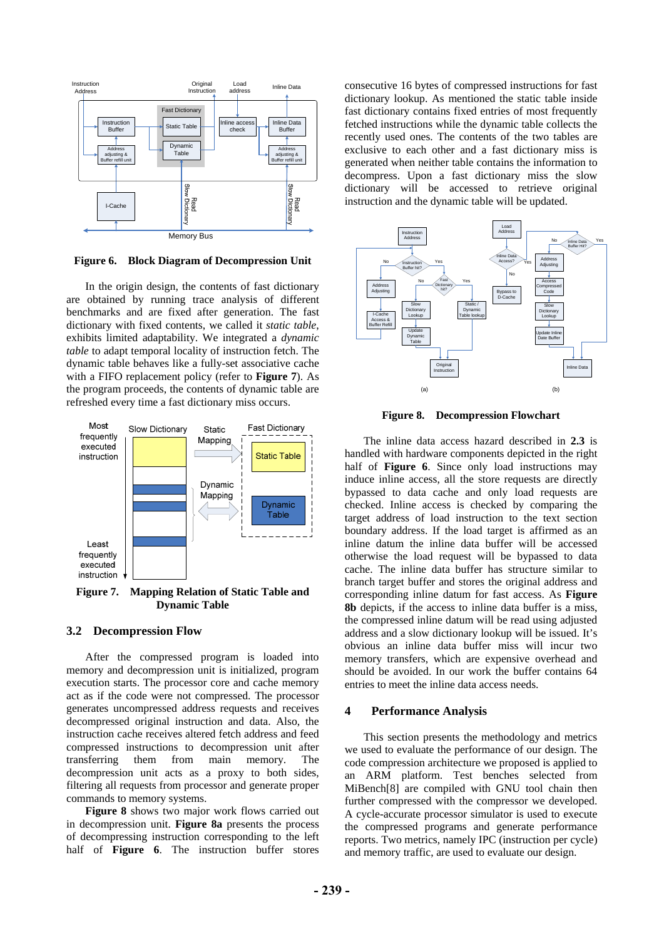

**Figure 6. Block Diagram of Decompression Unit** 

<span id="page-3-0"></span>In the origin design, the contents of fast dictionary are obtained by running trace analysis of different benchmarks and are fixed after generation. The fast dictionary with fixed contents, we called it *static table*, exhibits limited adaptability. We integrated a *dynamic table* to adapt temporal locality of instruction fetch. The dynamic table behaves like a fully-set associative cache with a FIFO replacement policy (refer to **[Figure 7](#page-3-1)**). As the program proceeds, the contents of dynamic table are refreshed every time a fast dictionary miss occurs.

<span id="page-3-2"></span>

<span id="page-3-1"></span>**Figure 7. Mapping Relation of Static Table and Dynamic Table** 

### **3.2 Decompression Flow**

After the compressed program is loaded into memory and decompression unit is initialized, program execution starts. The processor core and cache memory act as if the code were not compressed. The processor generates uncompressed address requests and receives decompressed original instruction and data. Also, the instruction cache receives altered fetch address and feed compressed instructions to decompression unit after transferring them from main memory. The decompression unit acts as a proxy to both sides, filtering all requests from processor and generate proper commands to memory systems.

**[Figure 8](#page-3-2)** shows two major work flows carried out in decompression unit. **[Figure 8](#page-3-2)a** presents the process of decompressing instruction corresponding to the left half of **[Figure 6](#page-3-0)**. The instruction buffer stores

consecutive 16 bytes of compressed instructions for fast dictionary lookup. As mentioned the static table inside fast dictionary contains fixed entries of most frequently fetched instructions while the dynamic table collects the recently used ones. The contents of the two tables are exclusive to each other and a fast dictionary miss is generated when neither table contains the information to decompress. Upon a fast dictionary miss the slow dictionary will be accessed to retrieve original instruction and the dynamic table will be updated.



**Figure 8. Decompression Flowchart** 

The inline data access hazard described in **2.3** is handled with hardware components depicted in the right half of **[Figure 6](#page-3-0)**. Since only load instructions may induce inline access, all the store requests are directly bypassed to data cache and only load requests are checked. Inline access is checked by comparing the target address of load instruction to the text section boundary address. If the load target is affirmed as an inline datum the inline data buffer will be accessed otherwise the load request will be bypassed to data cache. The inline data buffer has structure similar to branch target buffer and stores the original address and corresponding inline datum for fast access. As **[Figure](#page-3-2)  [8](#page-3-2)b** depicts, if the access to inline data buffer is a miss, the compressed inline datum will be read using adjusted address and a slow dictionary lookup will be issued. It's obvious an inline data buffer miss will incur two memory transfers, which are expensive overhead and should be avoided. In our work the buffer contains 64 entries to meet the inline data access needs.

### **4 Performance Analysis**

This section presents the methodology and metrics we used to evaluate the performance of our design. The code compression architecture we proposed is applied to an ARM platform. Test benches selected from MiBench[[8\]](#page-5-7) are compiled with GNU tool chain then further compressed with the compressor we developed. A cycle-accurate processor simulator is used to execute the compressed programs and generate performance reports. Two metrics, namely IPC (instruction per cycle) and memory traffic, are used to evaluate our design.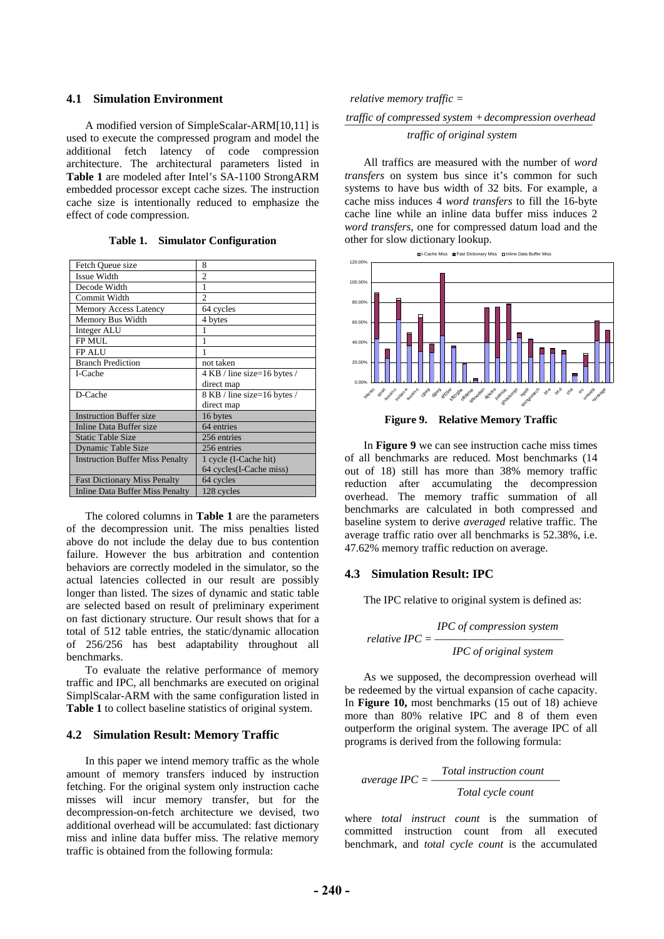## **4.1 Simulation Environment**

A modified version of SimpleScalar-ARM[\[10](#page-5-9)[,11\]](#page-5-10) is used to execute the compressed program and model the additional fetch latency of code compression architecture. The architectural parameters listed in **[Table 1](#page-4-0)** are modeled after Intel's SA-1100 StrongARM embedded processor except cache sizes. The instruction cache size is intentionally reduced to emphasize the effect of code compression.

<span id="page-4-0"></span>

| Fetch Queue size                       | 8                           |  |
|----------------------------------------|-----------------------------|--|
| Issue Width                            | $\overline{c}$              |  |
| Decode Width                           | 1                           |  |
| Commit Width                           | 2                           |  |
| Memory Access Latency                  | 64 cycles                   |  |
| Memory Bus Width                       | 4 bytes                     |  |
| Integer ALU                            | 1                           |  |
| <b>FP MUL</b>                          |                             |  |
| FP ALU                                 |                             |  |
| <b>Branch Prediction</b>               | not taken                   |  |
| I-Cache                                | 4 KB / line size=16 bytes / |  |
|                                        | direct map                  |  |
| D-Cache                                | 8 KB / line size=16 bytes / |  |
|                                        | direct map                  |  |
| <b>Instruction Buffer size</b>         | 16 bytes                    |  |
| Inline Data Buffer size                | 64 entries                  |  |
| <b>Static Table Size</b>               | 256 entries                 |  |
| Dynamic Table Size                     | 256 entries                 |  |
| <b>Instruction Buffer Miss Penalty</b> | 1 cycle (I-Cache hit)       |  |
|                                        | 64 cycles(I-Cache miss)     |  |
| <b>Fast Dictionary Miss Penalty</b>    | 64 cycles                   |  |
| <b>Inline Data Buffer Miss Penalty</b> | 128 cycles                  |  |

**Table 1. Simulator Configuration** 

<span id="page-4-1"></span>The colored columns in **[Table 1](#page-4-0)** are the parameters of the decompression unit. The miss penalties listed above do not include the delay due to bus contention failure. However the bus arbitration and contention behaviors are correctly modeled in the simulator, so the actual latencies collected in our result are possibly longer than listed. The sizes of dynamic and static table are selected based on result of preliminary experiment on fast dictionary structure. Our result shows that for a total of 512 table entries, the static/dynamic allocation of 256/256 has best adaptability throughout all benchmarks.

To evaluate the relative performance of memory traffic and IPC, all benchmarks are executed on original SimplScalar-ARM with the same configuration listed in **[Table 1](#page-4-0)** to collect baseline statistics of original system.

### **4.2 Simulation Result: Memory Traffic**

In this paper we intend memory traffic as the whole amount of memory transfers induced by instruction fetching. For the original system only instruction cache misses will incur memory transfer, but for the decompression-on-fetch architecture we devised, two additional overhead will be accumulated: fast dictionary miss and inline data buffer miss. The relative memory traffic is obtained from the following formula:

# *relative memory traffic = ————————————————————————— traffic of compressed system + decompression overhead traffic of original system*

All traffics are measured with the number of *word transfers* on system bus since it's common for such systems to have bus width of 32 bits. For example, a cache miss induces 4 *word transfers* to fill the 16-byte cache line while an inline data buffer miss induces 2 *word transfers*, one for compressed datum load and the other for slow dictionary lookup.



**Figure 9. Relative Memory Traffic** 

In **[Figure 9](#page-4-1)** we can see instruction cache miss times of all benchmarks are reduced. Most benchmarks (14 out of 18) still has more than 38% memory traffic reduction after accumulating the decompression overhead. The memory traffic summation of all benchmarks are calculated in both compressed and baseline system to derive *averaged* relative traffic. The average traffic ratio over all benchmarks is 52.38%, i.e. 47.62% memory traffic reduction on average.

### **4.3 Simulation Result: IPC**

The IPC relative to original system is defined as:

$$
relative \ IPC = \frac{IPC \ of \ compression \ system}{IPC \ of \ original \ system}
$$

As we supposed, the decompression overhead will be redeemed by the virtual expansion of cache capacity. In **Figure 10,** most benchmarks (15 out of 18) achieve more than 80% relative IPC and 8 of them even outperform the original system. The average IPC of all programs is derived from the following formula:

$$
average \, IPC = \frac{Total \, instruction \, count}{Total \, cycle \, count}
$$

where *total instruct count* is the summation of committed instruction count from all executed benchmark, and *total cycle count* is the accumulated